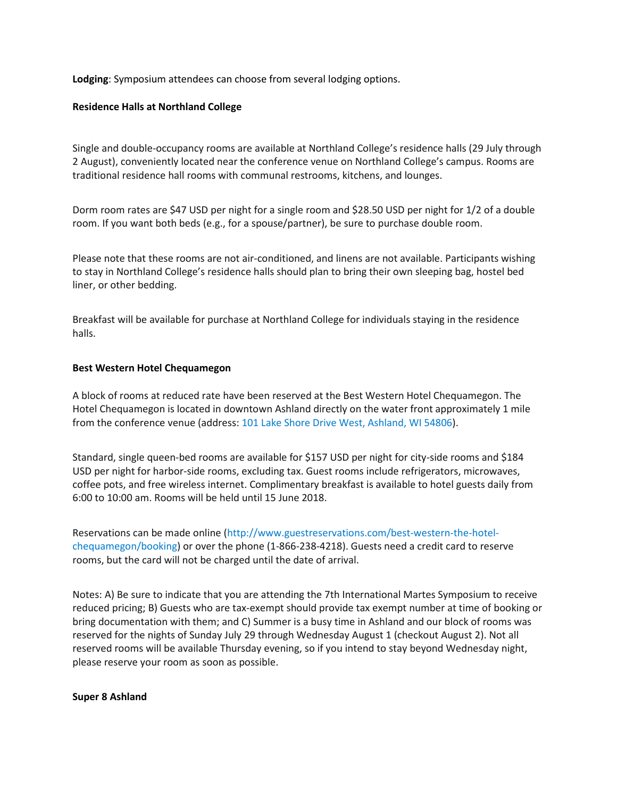**Lodging**: Symposium attendees can choose from several lodging options.

## **Residence Halls at Northland College**

Single and double-occupancy rooms are available at Northland College's residence halls (29 July through 2 August), conveniently located near the conference venue on Northland College's campus. Rooms are traditional residence hall rooms with communal restrooms, kitchens, and lounges.

Dorm room rates are \$47 USD per night for a single room and \$28.50 USD per night for 1/2 of a double room. If you want both beds (e.g., for a spouse/partner), be sure to purchase double room.

Please note that these rooms are not air-conditioned, and linens are not available. Participants wishing to stay in Northland College's residence halls should plan to bring their own sleeping bag, hostel bed liner, or other bedding.

Breakfast will be available for purchase at Northland College for individuals staying in the residence halls.

## **Best Western Hotel Chequamegon**

A block of rooms at reduced rate have been reserved at the Best Western Hotel Chequamegon. The Hotel Chequamegon is located in downtown Ashland directly on the water front approximately 1 mile from the conference venue (address: [101 Lake Shore Drive West, Ashland, WI 54806\)](https://goo.gl/maps/sgVYH8AV6Vs).

Standard, single queen-bed rooms are available for \$157 USD per night for city-side rooms and \$184 USD per night for harbor-side rooms, excluding tax. Guest rooms include refrigerators, microwaves, coffee pots, and free wireless internet. Complimentary breakfast is available to hotel guests daily from 6:00 to 10:00 am. Rooms will be held until 15 June 2018.

Reservations can be made online [\(http://www.guestreservations.com/best-western-the-hotel](http://www.guestreservations.com/best-western-the-hotel-chequamegon/booking)[chequamegon/booking\)](http://www.guestreservations.com/best-western-the-hotel-chequamegon/booking) or over the phone (1-866-238-4218). Guests need a credit card to reserve rooms, but the card will not be charged until the date of arrival.

Notes: A) Be sure to indicate that you are attending the 7th International Martes Symposium to receive reduced pricing; B) Guests who are tax-exempt should provide tax exempt number at time of booking or bring documentation with them; and C) Summer is a busy time in Ashland and our block of rooms was reserved for the nights of Sunday July 29 through Wednesday August 1 (checkout August 2). Not all reserved rooms will be available Thursday evening, so if you intend to stay beyond Wednesday night, please reserve your room as soon as possible.

## **Super 8 Ashland**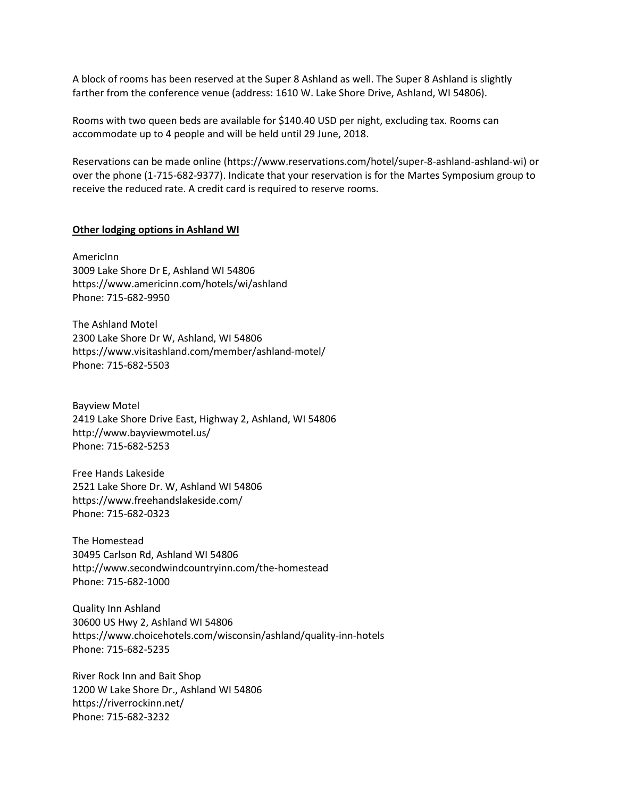A block of rooms has been reserved at the Super 8 Ashland as well. The Super 8 Ashland is slightly farther from the conference venue (address: 1610 W. Lake Shore Drive, Ashland, WI 54806).

Rooms with two queen beds are available for \$140.40 USD per night, excluding tax. Rooms can accommodate up to 4 people and will be held until 29 June, 2018.

Reservations can be made online (https://www.reservations.com/hotel/super-8-ashland-ashland-wi) or over the phone (1-715-682-9377). Indicate that your reservation is for the Martes Symposium group to receive the reduced rate. A credit card is required to reserve rooms.

## **Other lodging options in Ashland WI**

AmericInn 3009 Lake Shore Dr E, Ashland WI 54806 https://www.americinn.com/hotels/wi/ashland Phone: 715-682-9950

The Ashland Motel 2300 Lake Shore Dr W, Ashland, WI 54806 https://www.visitashland.com/member/ashland-motel/ Phone: 715-682-5503

Bayview Motel 2419 Lake Shore Drive East, Highway 2, Ashland, WI 54806 http://www.bayviewmotel.us/ Phone: 715-682-5253

Free Hands Lakeside 2521 Lake Shore Dr. W, Ashland WI 54806 https://www.freehandslakeside.com/ Phone: 715-682-0323

The Homestead 30495 Carlson Rd, Ashland WI 54806 http://www.secondwindcountryinn.com/the-homestead Phone: 715-682-1000

Quality Inn Ashland 30600 US Hwy 2, Ashland WI 54806 https://www.choicehotels.com/wisconsin/ashland/quality-inn-hotels Phone: 715-682-5235

River Rock Inn and Bait Shop 1200 W Lake Shore Dr., Ashland WI 54806 https://riverrockinn.net/ Phone: 715-682-3232